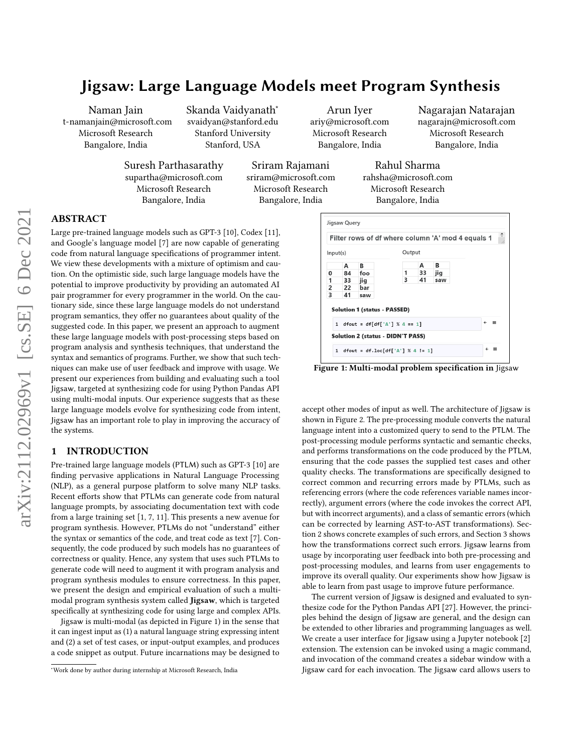Naman Jain t-namanjain@microsoft.com Microsoft Research Bangalore, India

Skanda Vaidyanath<sup>∗</sup> svaidyan@stanford.edu Stanford University Stanford, USA

Arun Iyer ariy@microsoft.com Microsoft Research Bangalore, India

Nagarajan Natarajan nagarajn@microsoft.com Microsoft Research Bangalore, India

Suresh Parthasarathy supartha@microsoft.com Microsoft Research Bangalore, India

Sriram Rajamani sriram@microsoft.com Microsoft Research Bangalore, India

Rahul Sharma rahsha@microsoft.com Microsoft Research Bangalore, India

# ABSTRACT

Large pre-trained language models such as GPT-3 [\[10\]](#page-10-0), Codex [\[11\]](#page-10-1), and Google's language model [\[7\]](#page-10-2) are now capable of generating code from natural language specifications of programmer intent. We view these developments with a mixture of optimism and caution. On the optimistic side, such large language models have the potential to improve productivity by providing an automated AI pair programmer for every programmer in the world. On the cautionary side, since these large language models do not understand program semantics, they offer no guarantees about quality of the suggested code. In this paper, we present an approach to augment these large language models with post-processing steps based on program analysis and synthesis techniques, that understand the syntax and semantics of programs. Further, we show that such techniques can make use of user feedback and improve with usage. We present our experiences from building and evaluating such a tool Jigsaw, targeted at synthesizing code for using Python Pandas API using multi-modal inputs. Our experience suggests that as these large language models evolve for synthesizing code from intent, Jigsaw has an important role to play in improving the accuracy of the systems.

## 1 INTRODUCTION

Pre-trained large language models (PTLM) such as GPT-3 [\[10\]](#page-10-0) are finding pervasive applications in Natural Language Processing (NLP), as a general purpose platform to solve many NLP tasks. Recent efforts show that PTLMs can generate code from natural language prompts, by associating documentation text with code from a large training set [\[1,](#page-10-3) [7,](#page-10-2) [11\]](#page-10-1). This presents a new avenue for program synthesis. However, PTLMs do not "understand" either the syntax or semantics of the code, and treat code as text [\[7\]](#page-10-2). Consequently, the code produced by such models has no guarantees of correctness or quality. Hence, any system that uses such PTLMs to generate code will need to augment it with program analysis and program synthesis modules to ensure correctness. In this paper, we present the design and empirical evaluation of such a multimodal program synthesis system called Jigsaw, which is targeted specifically at synthesizing code for using large and complex APIs.

Jigsaw is multi-modal (as depicted in Figure [1\)](#page-0-0) in the sense that it can ingest input as (1) a natural language string expressing intent and (2) a set of test cases, or input-output examples, and produces a code snippet as output. Future incarnations may be designed to

<span id="page-0-0"></span>

Figure 1: Multi-modal problem specification in Jigsaw

accept other modes of input as well. The architecture of Jigsaw is shown in Figure [2.](#page-2-0) The pre-processing module converts the natural language intent into a customized query to send to the PTLM. The post-processing module performs syntactic and semantic checks, and performs transformations on the code produced by the PTLM, ensuring that the code passes the supplied test cases and other quality checks. The transformations are specifically designed to correct common and recurring errors made by PTLMs, such as referencing errors (where the code references variable names incorrectly), argument errors (where the code invokes the correct API, but with incorrect arguments), and a class of semantic errors (which can be corrected by learning AST-to-AST transformations). Section [2](#page-1-0) shows concrete examples of such errors, and Section [3](#page-2-1) shows how the transformations correct such errors. Jigsaw learns from usage by incorporating user feedback into both pre-processing and post-processing modules, and learns from user engagements to improve its overall quality. Our experiments show how Jigsaw is able to learn from past usage to improve future performance.

The current version of Jigsaw is designed and evaluated to synthesize code for the Python Pandas API [\[27\]](#page-11-0). However, the principles behind the design of Jigsaw are general, and the design can be extended to other libraries and programming languages as well. We create a user interface for Jigsaw using a Jupyter notebook [\[2\]](#page-10-4) extension. The extension can be invoked using a magic command, and invocation of the command creates a sidebar window with a Jigsaw card for each invocation. The Jigsaw card allows users to

<sup>∗</sup>Work done by author during internship at Microsoft Research, India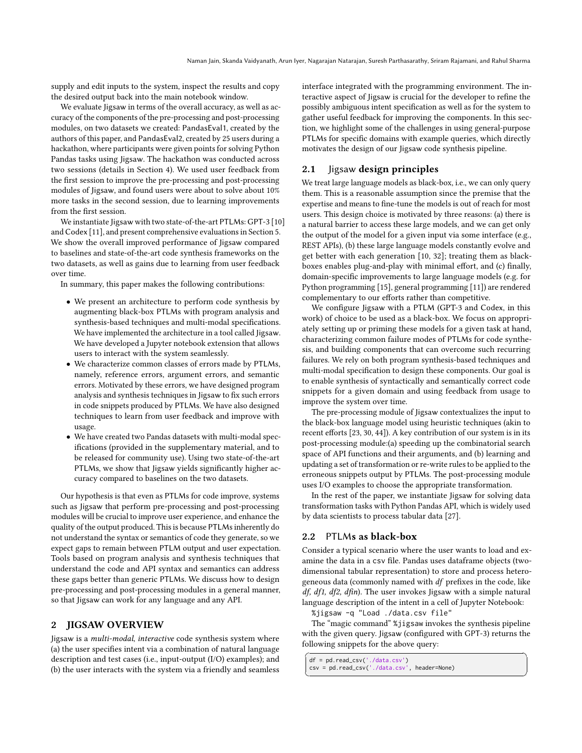supply and edit inputs to the system, inspect the results and copy the desired output back into the main notebook window.

We evaluate Jigsaw in terms of the overall accuracy, as well as accuracy of the components of the pre-processing and post-processing modules, on two datasets we created: PandasEval1, created by the authors of this paper, and PandasEval2, created by 25 users during a hackathon, where participants were given points for solving Python Pandas tasks using Jigsaw. The hackathon was conducted across two sessions (details in Section [4\)](#page-5-0). We used user feedback from the first session to improve the pre-processing and post-processing modules of Jigsaw, and found users were about to solve about 10% more tasks in the second session, due to learning improvements from the first session.

We instantiate Jigsaw with two state-of-the-art PTLMs: GPT-3 [\[10\]](#page-10-0) and Codex [\[11\]](#page-10-1), and present comprehensive evaluations in Section [5.](#page-6-0) We show the overall improved performance of Jigsaw compared to baselines and state-of-the-art code synthesis frameworks on the two datasets, as well as gains due to learning from user feedback over time.

In summary, this paper makes the following contributions:

- We present an architecture to perform code synthesis by augmenting black-box PTLMs with program analysis and synthesis-based techniques and multi-modal specifications. We have implemented the architecture in a tool called Jigsaw. We have developed a Jupyter notebook extension that allows users to interact with the system seamlessly.
- We characterize common classes of errors made by PTLMs, namely, reference errors, argument errors, and semantic errors. Motivated by these errors, we have designed program analysis and synthesis techniques in Jigsaw to fix such errors in code snippets produced by PTLMs. We have also designed techniques to learn from user feedback and improve with usage.
- We have created two Pandas datasets with multi-modal specifications (provided in the supplementary material, and to be released for community use). Using two state-of-the-art PTLMs, we show that Jigsaw yields significantly higher accuracy compared to baselines on the two datasets.

Our hypothesis is that even as PTLMs for code improve, systems such as Jigsaw that perform pre-processing and post-processing modules will be crucial to improve user experience, and enhance the quality of the output produced. This is because PTLMs inherently do not understand the syntax or semantics of code they generate, so we expect gaps to remain between PTLM output and user expectation. Tools based on program analysis and synthesis techniques that understand the code and API syntax and semantics can address these gaps better than generic PTLMs. We discuss how to design pre-processing and post-processing modules in a general manner, so that Jigsaw can work for any language and any API.

#### <span id="page-1-0"></span>2 JIGSAW OVERVIEW

Jigsaw is a multi-modal, interactive code synthesis system where (a) the user specifies intent via a combination of natural language description and test cases (i.e., input-output (I/O) examples); and (b) the user interacts with the system via a friendly and seamless interface integrated with the programming environment. The interactive aspect of Jigsaw is crucial for the developer to refine the possibly ambiguous intent specification as well as for the system to gather useful feedback for improving the components. In this section, we highlight some of the challenges in using general-purpose PTLMs for specific domains with example queries, which directly motivates the design of our Jigsaw code synthesis pipeline.

## 2.1 Jigsaw design principles

We treat large language models as black-box, i.e., we can only query them. This is a reasonable assumption since the premise that the expertise and means to fine-tune the models is out of reach for most users. This design choice is motivated by three reasons: (a) there is a natural barrier to access these large models, and we can get only the output of the model for a given input via some interface (e.g., REST APIs), (b) these large language models constantly evolve and get better with each generation [\[10,](#page-10-0) [32\]](#page-11-1); treating them as blackboxes enables plug-and-play with minimal effort, and (c) finally, domain-specific improvements to large language models (e.g. for Python programming [\[15\]](#page-10-5), general programming [\[11\]](#page-10-1)) are rendered complementary to our efforts rather than competitive.

We configure Jigsaw with a PTLM (GPT-3 and Codex, in this work) of choice to be used as a black-box. We focus on appropriately setting up or priming these models for a given task at hand, characterizing common failure modes of PTLMs for code synthesis, and building components that can overcome such recurring failures. We rely on both program synthesis-based techniques and multi-modal specification to design these components. Our goal is to enable synthesis of syntactically and semantically correct code snippets for a given domain and using feedback from usage to improve the system over time.

The pre-processing module of Jigsaw contextualizes the input to the black-box language model using heuristic techniques (akin to recent efforts [\[23,](#page-11-2) [30,](#page-11-3) [44\]](#page-11-4)). A key contribution of our system is in its post-processing module:(a) speeding up the combinatorial search space of API functions and their arguments, and (b) learning and updating a set of transformation or re-write rules to be applied to the erroneous snippets output by PTLMs. The post-processing module uses I/O examples to choose the appropriate transformation.

In the rest of the paper, we instantiate Jigsaw for solving data transformation tasks with Python Pandas API, which is widely used by data scientists to process tabular data [\[27\]](#page-11-0).

#### 2.2 PTLMs as black-box

Consider a typical scenario where the user wants to load and examine the data in a csv file. Pandas uses dataframe objects (twodimensional tabular representation) to store and process heterogeneous data (commonly named with df prefixes in the code, like  $df$ ,  $df1$ ,  $df2$ ,  $dfin$ ). The user invokes Jigsaw with a simple natural language description of the intent in a cell of Jupyter Notebook:

%jigsaw -q "Load ./data.csv file"

The "magic command" %jigsaw invokes the synthesis pipeline with the given query. Jigsaw (configured with GPT-3) returns the following snippets for the above query:

 $\int df = pd.read_csv('./data.csv')$ 

csv = pd.read\_csv('./data.csv', header=None)  $\overline{\phantom{a}}$   $\overline{\phantom{a}}$   $\overline{\phantom{a}}$   $\overline{\phantom{a}}$   $\overline{\phantom{a}}$   $\overline{\phantom{a}}$   $\overline{\phantom{a}}$   $\overline{\phantom{a}}$   $\overline{\phantom{a}}$   $\overline{\phantom{a}}$   $\overline{\phantom{a}}$   $\overline{\phantom{a}}$   $\overline{\phantom{a}}$   $\overline{\phantom{a}}$   $\overline{\phantom{a}}$   $\overline{\phantom{a}}$   $\overline{\phantom{a}}$   $\overline{\phantom{a}}$   $\overline{\$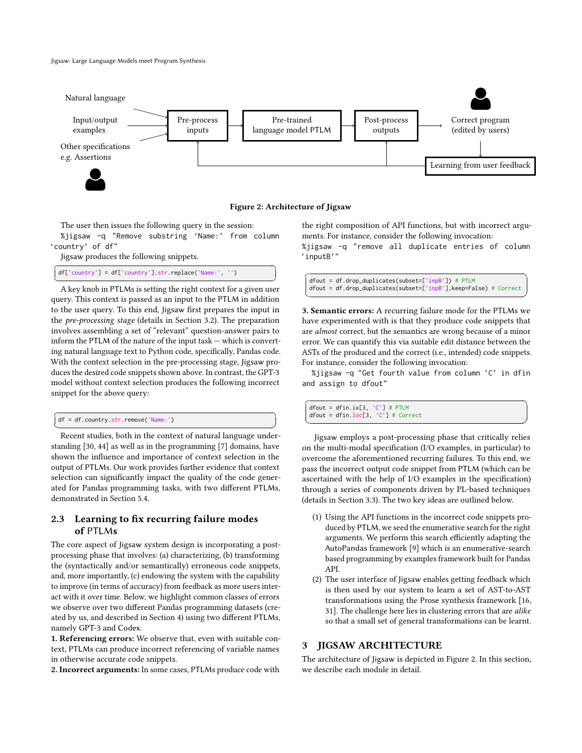<span id="page-2-0"></span>

Figure 2: Architecture of Jigsaw

The user then issues the following query in the session: %jigsaw -q "Remove substring 'Name:' from column 'country' of df"

Jigsaw produces the following snippets.

df['country'] = df['country'].str.replace('Name:', '')

 $\overbrace{\phantom{xxxxx}}$  A key knob in PTLMs is setting the right context for a given user query. This context is passed as an input to the PTLM in addition to the user query. To this end, Jigsaw first prepares the input in the pre-processing stage (details in Section [3.2\)](#page-3-0). The preparation involves assembling a set of "relevant" question-answer pairs to inform the PTLM of the nature of the input task — which is converting natural language text to Python code, specifically, Pandas code. With the context selection in the pre-processing stage, Jigsaw produces the desired code snippets shown above. In contrast, the GPT-3 model without context selection produces the following incorrect snippet for the above query:

```
\sqrt{df} = df.country.str.remove('Name:')
```
**EXECUTE:**<br>Recent studies, both in the context of natural language understanding [\[30,](#page-11-3) [44\]](#page-11-4) as well as in the programming [\[7\]](#page-10-2) domains, have shown the influence and importance of context selection in the output of PTLMs. Our work provides further evidence that context selection can significantly impact the quality of the code generated for Pandas programming tasks, with two different PTLMs, demonstrated in Section [5.4.](#page-8-0)

## 2.3 Learning to fix recurring failure modes of PTLMs

The core aspect of Jigsaw system design is incorporating a postprocessing phase that involves: (a) characterizing, (b) transforming the (syntactically and/or semantically) erroneous code snippets, and, more importantly, (c) endowing the system with the capability to improve (in terms of accuracy) from feedback as more users interact with it over time. Below, we highlight common classes of errors we observe over two different Pandas programming datasets (created by us, and described in Section [4\)](#page-5-0) using two different PTLMs, namely GPT-3 and Codex.

1. Referencing errors: We observe that, even with suitable context, PTLMs can produce incorrect referencing of variable names in otherwise accurate code snippets.

2. Incorrect arguments: In some cases, PTLMs produce code with

the right composition of API functions, but with incorrect arguments. For instance, consider the following invocation:

%jigsaw -q "remove all duplicate entries of column 'inputB'"

✞ ☎ dfout = df.drop\_duplicates(subset=['inpB']) # PTLM dfout = df.drop\_duplicates(subset=['inpB'],keep=False) # Correct ✝ ✆

3. Semantic errors: A recurring failure mode for the PTLMs we have experimented with is that they produce code snippets that are almost correct, but the semantics are wrong because of a minor error. We can quantify this via suitable edit distance between the ASTs of the produced and the correct (i.e., intended) code snippets. For instance, consider the following invocation:

%jigsaw -q "Get fourth value from column 'C' in dfin and assign to dfout"

✞ ☎ dfout = dfin.ix[3, 'C'] # PTLM dfout = dfin.loc[3, 'C'] # Correct  $\overline{\phantom{a}}$   $\overline{\phantom{a}}$   $\overline{\phantom{a}}$   $\overline{\phantom{a}}$   $\overline{\phantom{a}}$   $\overline{\phantom{a}}$   $\overline{\phantom{a}}$   $\overline{\phantom{a}}$   $\overline{\phantom{a}}$   $\overline{\phantom{a}}$   $\overline{\phantom{a}}$   $\overline{\phantom{a}}$   $\overline{\phantom{a}}$   $\overline{\phantom{a}}$   $\overline{\phantom{a}}$   $\overline{\phantom{a}}$   $\overline{\phantom{a}}$   $\overline{\phantom{a}}$   $\overline{\$ 

Jigsaw employs a post-processing phase that critically relies on the multi-modal specification (I/O examples, in particular) to overcome the aforementioned recurring failures. To this end, we pass the incorrect output code snippet from PTLM (which can be ascertained with the help of I/O examples in the specification) through a series of components driven by PL-based techniques (details in Section [3.3\)](#page-3-1). The two key ideas are outlined below.

- (1) Using the API functions in the incorrect code snippets produced by PTLM, we seed the enumerative search for the right arguments. We perform this search efficiently adapting the AutoPandas framework [\[9\]](#page-10-6) which is an enumerative-search based programming by examples framework built for Pandas API.
- (2) The user interface of Jigsaw enables getting feedback which is then used by our system to learn a set of AST-to-AST transformations using the Prose synthesis framework [\[16,](#page-10-7) [31\]](#page-11-5). The challenge here lies in clustering errors that are alike so that a small set of general transformations can be learnt.

## <span id="page-2-1"></span>3 JIGSAW ARCHITECTURE

The architecture of Jigsaw is depicted in Figure [2.](#page-2-0) In this section, we describe each module in detail.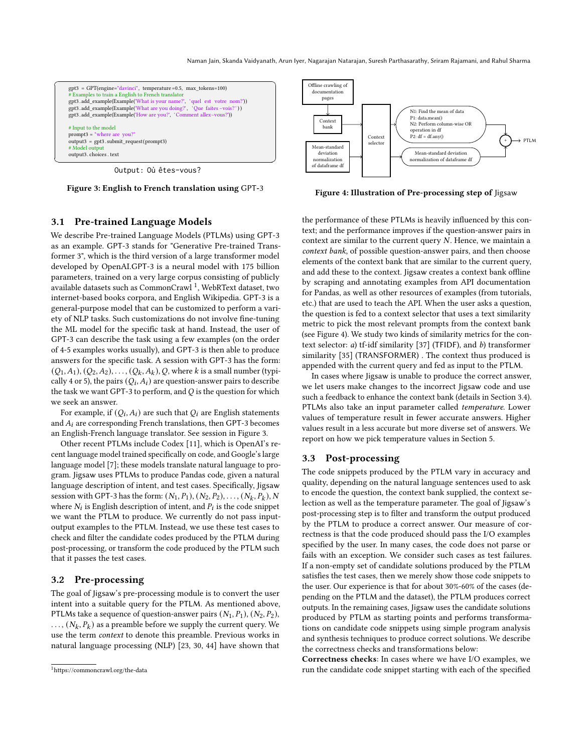Naman Jain, Skanda Vaidyanath, Arun Iyer, Nagarajan Natarajan, Suresh Parthasarathy, Sriram Rajamani, and Rahul Sharma

<span id="page-3-3"></span>

Output: Où êtes-vous?

Figure 3: English to French translation using GPT-3

#### 3.1 Pre-trained Language Models

We describe Pre-trained Language Models (PTLMs) using GPT-3 as an example. GPT-3 stands for "Generative Pre-trained Transformer 3", which is the third version of a large transformer model developed by OpenAI.GPT-3 is a neural model with 175 billion parameters, trained on a very large corpus consisting of publicly available datasets such as CommonCrawl <sup>[1](#page-3-2)</sup>. WebRText dataset, two internet-based books corpora, and English Wikipedia. GPT-3 is a general-purpose model that can be customized to perform a variety of NLP tasks. Such customizations do not involve fine-tuning the ML model for the specific task at hand. Instead, the user of GPT-3 can describe the task using a few examples (on the order of 4-5 examples works usually), and GPT-3 is then able to produce answers for the specific task. A session with GPT-3 has the form:  $(Q_1, A_1), (Q_2, A_2), \ldots, (Q_k, A_k), Q$ , where k is a small number (typically 4 or 5), the pairs  $(Q_i, A_i)$  are question-answer pairs to describe the task we want GPT-3 to perform, and  $Q$  is the question for which we seek an answer.

For example, if  $(Q_i, A_i)$  are such that  $Q_i$  are English statements and  $A_i$  are corresponding French translations, then GPT-3 becomes an English-French language translator. See session in Figure [3.](#page-3-3)

Other recent PTLMs include Codex [\[11\]](#page-10-1), which is OpenAI's recent language model trained specifically on code, and Google's large language model [\[7\]](#page-10-2); these models translate natural language to program. Jigsaw uses PTLMs to produce Pandas code, given a natural language description of intent, and test cases. Specifically, Jigsaw session with GPT-3 has the form:  $(N_1, P_1), (N_2, P_2), \ldots, (N_k, P_k), N$ where  $N_i$  is English description of intent, and  $P_i$  is the code snippet we want the PTLM to produce. We currently do not pass inputoutput examples to the PTLM. Instead, we use these test cases to check and filter the candidate codes produced by the PTLM during post-processing, or transform the code produced by the PTLM such that it passes the test cases.

## <span id="page-3-0"></span>3.2 Pre-processing

The goal of Jigsaw's pre-processing module is to convert the user intent into a suitable query for the PTLM. As mentioned above, PTLMs take a sequence of question-answer pairs  $(N_1, P_1), (N_2, P_2)$ ,  $\ldots$ ,  $(N_k, P_k)$  as a preamble before we supply the current query. We use the term context to denote this preamble. Previous works in natural language processing (NLP) [\[23,](#page-11-2) [30,](#page-11-3) [44\]](#page-11-4) have shown that

<span id="page-3-4"></span>

Figure 4: Illustration of Pre-processing step of Jigsaw

the performance of these PTLMs is heavily influenced by this context; and the performance improves if the question-answer pairs in context are similar to the current query  $N$ . Hence, we maintain a context bank, of possible question-answer pairs, and then choose elements of the context bank that are similar to the current query, and add these to the context. Jigsaw creates a context bank offline by scraping and annotating examples from API documentation for Pandas, as well as other resources of examples (from tutorials, etc.) that are used to teach the API. When the user asks a question, the question is fed to a context selector that uses a text similarity metric to pick the most relevant prompts from the context bank (see Figure [4\)](#page-3-4). We study two kinds of similarity metrics for the context selector: a) tf-idf similarity [\[37\]](#page-11-6) (TFIDF), and b) transformer similarity [\[35\]](#page-11-7) (TRANSFORMER) . The context thus produced is appended with the current query and fed as input to the PTLM.

In cases where Jigsaw is unable to produce the correct answer, we let users make changes to the incorrect Jigsaw code and use such a feedback to enhance the context bank (details in Section [3.4\)](#page-5-1). PTLMs also take an input parameter called temperature. Lower values of temperature result in fewer accurate answers. Higher values result in a less accurate but more diverse set of answers. We report on how we pick temperature values in Section [5.](#page-6-0)

#### <span id="page-3-1"></span>3.3 Post-processing

The code snippets produced by the PTLM vary in accuracy and quality, depending on the natural language sentences used to ask to encode the question, the context bank supplied, the context selection as well as the temperature parameter. The goal of Jigsaw's post-processing step is to filter and transform the output produced by the PTLM to produce a correct answer. Our measure of correctness is that the code produced should pass the I/O examples specified by the user. In many cases, the code does not parse or fails with an exception. We consider such cases as test failures. If a non-empty set of candidate solutions produced by the PTLM satisfies the test cases, then we merely show those code snippets to the user. Our experience is that for about 30%-60% of the cases (depending on the PTLM and the dataset), the PTLM produces correct outputs. In the remaining cases, Jigsaw uses the candidate solutions produced by PTLM as starting points and performs transformations on candidate code snippets using simple program analysis and synthesis techniques to produce correct solutions. We describe the correctness checks and transformations below:

Correctness checks: In cases where we have I/O examples, we run the candidate code snippet starting with each of the specified

<span id="page-3-2"></span><sup>1</sup>https://commoncrawl.org/the-data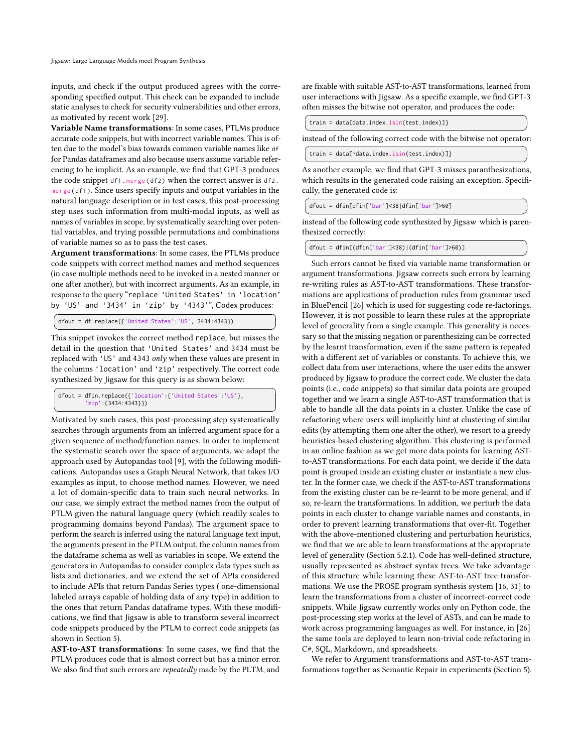inputs, and check if the output produced agrees with the corresponding specified output. This check can be expanded to include static analyses to check for security vulnerabilities and other errors, as motivated by recent work [\[29\]](#page-11-8).

Variable Name transformations: In some cases, PTLMs produce accurate code snippets, but with incorrect variable names. This is often due to the model's bias towards common variable names like df for Pandas dataframes and also because users assume variable referencing to be implicit. As an example, we find that GPT-3 produces the code snippet df1.merge(df2) when the correct answer is df2. merge ( df1 ). Since users specify inputs and output variables in the natural language description or in test cases, this post-processing step uses such information from multi-modal inputs, as well as names of variables in scope, by systematically searching over potential variables, and trying possible permutations and combinations of variable names so as to pass the test cases.

Argument transformations: In some cases, the PTLMs produce code snippets with correct method names and method sequences (in case multiple methods need to be invoked in a nested manner or one after another), but with incorrect arguments. As an example, in response to the query "replace 'United States' in 'location' by 'US' and '3434' in 'zip' by '4343'", Codex produces:

 $\sqrt{dfout = df.\text{replace}(\{\text{ 'United States'} : 'US', \text{ 3434:4343}\})}$ ✝ ✆

This snippet invokes the correct method replace, but misses the detail in the question that 'United States' and 3434 must be replaced with 'US' and 4343 only when these values are present in the columns 'location' and 'zip' respectively. The correct code synthesized by Jigsaw for this query is as shown below:

```
✞ ☎
dfout = dfin.replace({'location':{'United States':'US'},
        'zip':{3434:4343}})
```
<del>contract the U.S.</del><br>Motivated by such cases, this post-processing step systematically searches through arguments from an inferred argument space for a given sequence of method/function names. In order to implement the systematic search over the space of arguments, we adapt the approach used by Autopandas tool [\[9\]](#page-10-6), with the following modifications. Autopandas uses a Graph Neural Network, that takes I/O examples as input, to choose method names. However, we need a lot of domain-specific data to train such neural networks. In our case, we simply extract the method names from the output of PTLM given the natural language query (which readily scales to programming domains beyond Pandas). The argument space to perform the search is inferred using the natural language text input, the arguments present in the PTLM output, the column names from the dataframe schema as well as variables in scope. We extend the generators in Autopandas to consider complex data types such as lists and dictionaries, and we extend the set of APIs considered to include APIs that return Pandas Series types ( one-dimensional labeled arrays capable of holding data of any type) in addition to the ones that return Pandas dataframe types. With these modifications, we find that Jigsaw is able to transform several incorrect code snippets produced by the PTLM to correct code snippets (as shown in Section [5\)](#page-6-0).

AST-to-AST transformations: In some cases, we find that the PTLM produces code that is almost correct but has a minor error. We also find that such errors are repeatedly made by the PLTM, and

are fixable with suitable AST-to-AST transformations, learned from user interactions with Jigsaw. As a specific example, we find GPT-3 often misses the bitwise not operator, and produces the code:

| train = data[data.index.isin(test.index)]}                                                                                                                              |
|-------------------------------------------------------------------------------------------------------------------------------------------------------------------------|
| instead of the following correct code with the bitwise not operator.                                                                                                    |
| train = data[~data.index.isin(test.index)]}                                                                                                                             |
| As another example, we find that GPT-3 misses paranthesizations,<br>which results in the generated code raising an exception. Specifi-<br>cally, the generated code is: |
| $dfout = dfin[dfin['bar']<38 dfin['bar']>60]$                                                                                                                           |

✝ ✆ instead of the following code synthesized by Jigsaw which is parenthesized correctly:

✞ ☎ dfout = dfin[(dfin['bar']<38)|(dfin['bar']>60)]

◯<br>Such errors cannot be fixed via variable name transformation or argument transformations. Jigsaw corrects such errors by learning re-writing rules as AST-to-AST transformations. These transformations are applications of production rules from grammar used in BluePencil [\[26\]](#page-11-9) which is used for suggesting code re-factorings. However, it is not possible to learn these rules at the appropriate level of generality from a single example. This generality is necessary so that the missing negation or parenthesizing can be corrected by the learnt transformation, even if the same pattern is repeated with a different set of variables or constants. To achieve this, we collect data from user interactions, where the user edits the answer produced by Jigsaw to produce the correct code. We cluster the data points (i.e., code snippets) so that similar data points are grouped together and we learn a single AST-to-AST transformation that is able to handle all the data points in a cluster. Unlike the case of refactoring where users will implicitly hint at clustering of similar edits (by attempting them one after the other), we resort to a greedy heuristics-based clustering algorithm. This clustering is performed in an online fashion as we get more data points for learning ASTto-AST transformations. For each data point, we decide if the data point is grouped inside an existing cluster or instantiate a new cluster. In the former case, we check if the AST-to-AST transformations from the existing cluster can be re-learnt to be more general, and if so, re-learn the transformations. In addition, we perturb the data points in each cluster to change variable names and constants, in order to prevent learning transformations that over-fit. Together with the above-mentioned clustering and perturbation heuristics, we find that we are able to learn transformations at the appropriate level of generality (Section [5.2.1\)](#page-7-0). Code has well-defined structure, usually represented as abstract syntax trees. We take advantage of this structure while learning these AST-to-AST tree transformations. We use the PROSE program synthesis system [\[16,](#page-10-7) [31\]](#page-11-5) to learn the transformations from a cluster of incorrect-correct code snippets. While Jigsaw currently works only on Python code, the post-processing step works at the level of ASTs, and can be made to work across programming languages as well. For instance, in [\[26\]](#page-11-9) the same tools are deployed to learn non-trivial code refactoring in C#, SQL, Markdown, and spreadsheets.

We refer to Argument transformations and AST-to-AST transformations together as Semantic Repair in experiments (Section [5\)](#page-6-0).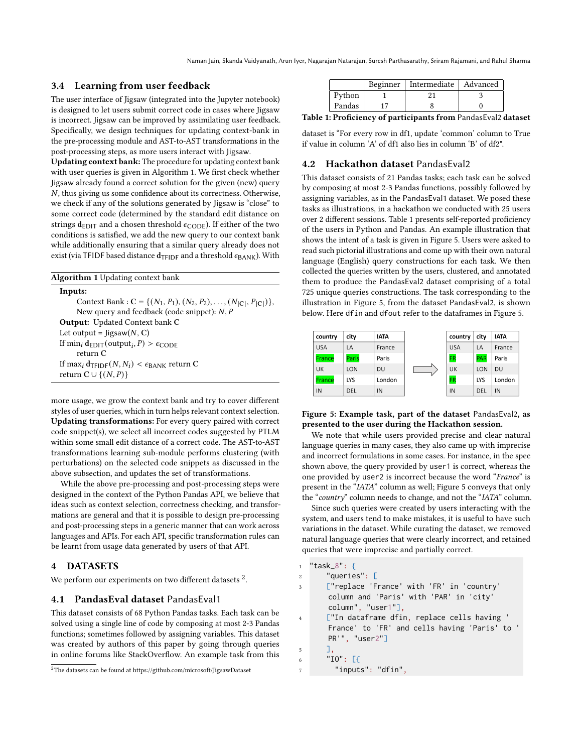## <span id="page-5-1"></span>3.4 Learning from user feedback

The user interface of Jigsaw (integrated into the Jupyter notebook) is designed to let users submit correct code in cases where Jigsaw is incorrect. Jigsaw can be improved by assimilating user feedback. Specifically, we design techniques for updating context-bank in the pre-processing module and AST-to-AST transformations in the post-processing steps, as more users interact with Jigsaw.

Updating context bank: The procedure for updating context bank with user queries is given in Algorithm [1.](#page-5-2) We first check whether Jigsaw already found a correct solution for the given (new) query  $N$ , thus giving us some confidence about its correctness. Otherwise, we check if any of the solutions generated by Jigsaw is "close" to some correct code (determined by the standard edit distance on strings  $\mathbf{d}_{\textrm{EDIT}}$  and a chosen threshold  $\epsilon_{\textrm{CODE}}$  ). If either of the two conditions is satisfied, we add the new query to our context bank while additionally ensuring that a similar query already does not exist (via TFIDF based distance  $d_{TFIDF}$  and a threshold  $\epsilon_{\text{BANK}}$ ). With

<span id="page-5-2"></span>

| <b>Algorithm 1</b> Updating context bank                                         |
|----------------------------------------------------------------------------------|
| Inputs:                                                                          |
| Context Bank : C = { $(N_1, P_1), (N_2, P_2), , (N_{ C }, P_{ C })$ },           |
| New query and feedback (code snippet): $N$ , $P$                                 |
| <b>Output:</b> Updated Context bank C                                            |
| Let output = $ligsaw(N, C)$                                                      |
| If min <sub>i</sub> $d_{EDIT}(output_i, P) > \epsilon_{CODE}$                    |
| return $C$                                                                       |
| If max <sub>i</sub> $d_{\text{TFIDE}}(N, N_i) < \epsilon_{\text{BANK}}$ return C |
| return $C \cup \{(N, P)\}\$                                                      |

more usage, we grow the context bank and try to cover different styles of user queries, which in turn helps relevant context selection. Updating transformations: For every query paired with correct code snippet(s), we select all incorrect codes suggested by PTLM within some small edit distance of a correct code. The AST-to-AST transformations learning sub-module performs clustering (with perturbations) on the selected code snippets as discussed in the above subsection, and updates the set of transformations.

While the above pre-processing and post-processing steps were designed in the context of the Python Pandas API, we believe that ideas such as context selection, correctness checking, and transformations are general and that it is possible to design pre-processing and post-processing steps in a generic manner that can work across languages and APIs. For each API, specific transformation rules can be learnt from usage data generated by users of that API.

#### <span id="page-5-0"></span>4 DATASETS

We perform our experiments on two different datasets  $^2$  $^2$ .

#### 4.1 PandasEval dataset PandasEval1

This dataset consists of 68 Python Pandas tasks. Each task can be solved using a single line of code by composing at most 2-3 Pandas functions; sometimes followed by assigning variables. This dataset was created by authors of this paper by going through queries in online forums like StackOverflow. An example task from this

<span id="page-5-4"></span>

|        | Beginner   Intermediate   Advanced |  |
|--------|------------------------------------|--|
| Python |                                    |  |
| Pandas |                                    |  |

Table 1: Proficiency of participants from PandasEval2 dataset

dataset is "For every row in df1, update 'common' column to True if value in column 'A' of df1 also lies in column 'B' of df2".

### <span id="page-5-6"></span>4.2 Hackathon dataset PandasEval2

This dataset consists of 21 Pandas tasks; each task can be solved by composing at most 2-3 Pandas functions, possibly followed by assigning variables, as in the PandasEval1 dataset. We posed these tasks as illustrations, in a hackathon we conducted with 25 users over 2 different sessions. Table [1](#page-5-4) presents self-reported proficiency of the users in Python and Pandas. An example illustration that shows the intent of a task is given in Figure [5.](#page-5-5) Users were asked to read such pictorial illustrations and come up with their own natural language (English) query constructions for each task. We then collected the queries written by the users, clustered, and annotated them to produce the PandasEval2 dataset comprising of a total 725 unique queries constructions. The task corresponding to the illustration in Figure [5,](#page-5-5) from the dataset PandasEval2, is shown below. Here dfin and dfout refer to the dataframes in Figure [5.](#page-5-5)

<span id="page-5-5"></span>

#### Figure 5: Example task, part of the dataset PandasEval2, as presented to the user during the Hackathon session.

We note that while users provided precise and clear natural language queries in many cases, they also came up with imprecise and incorrect formulations in some cases. For instance, in the spec shown above, the query provided by user1 is correct, whereas the one provided by user2 is incorrect because the word "France" is present in the "IATA" column as well; Figure [5](#page-5-5) conveys that only the "country" column needs to change, and not the "IATA" column.

Since such queries were created by users interacting with the system, and users tend to make mistakes, it is useful to have such variations in the dataset. While curating the dataset, we removed natural language queries that were clearly incorrect, and retained queries that were imprecise and partially correct.

| $\mathbf{1}$   | "task $\_8"$ : {                              |
|----------------|-----------------------------------------------|
| $\overline{2}$ | "queries": $\Gamma$                           |
| $\overline{3}$ | ["replace 'France' with 'FR' in 'country'     |
|                | column and 'Paris' with 'PAR' in 'city'       |
|                | column", "user1"],                            |
| $\overline{4}$ | ["In dataframe dfin, replace cells having '   |
|                | France' to 'FR' and cells having 'Paris' to ' |
|                | PR''', "user2"                                |
| 5              | Ш.                                            |
| 6              | "IO": $[f]$                                   |
| $\overline{7}$ | "inputs": "dfin",                             |
|                |                                               |

<span id="page-5-3"></span><sup>2</sup>The datasets can be found at<https://github.com/microsoft/JigsawDataset>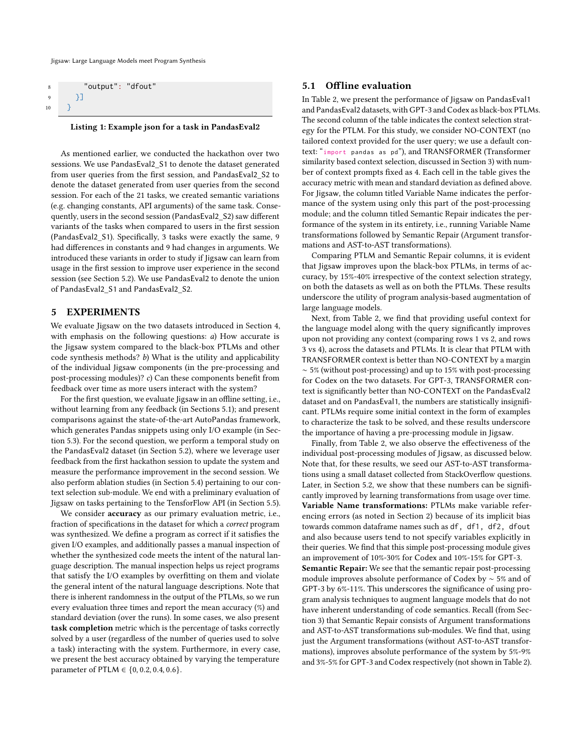| 8  | "output": "dfout" |  |
|----|-------------------|--|
| 9  |                   |  |
| 10 |                   |  |

#### Listing 1: Example json for a task in PandasEval2

As mentioned earlier, we conducted the hackathon over two sessions. We use PandasEval2\_S1 to denote the dataset generated from user queries from the first session, and PandasEval2\_S2 to denote the dataset generated from user queries from the second session. For each of the 21 tasks, we created semantic variations (e.g. changing constants, API arguments) of the same task. Consequently, users in the second session (PandasEval2\_S2) saw different variants of the tasks when compared to users in the first session (PandasEval2\_S1). Specifically, 3 tasks were exactly the same, 9 had differences in constants and 9 had changes in arguments. We introduced these variants in order to study if Jigsaw can learn from usage in the first session to improve user experience in the second session (see Section 5.2). We use PandasEval2 to denote the union of PandasEval2\_S1 and PandasEval2\_S2.

## <span id="page-6-0"></span>5 EXPERIMENTS

We evaluate Jigsaw on the two datasets introduced in Section [4,](#page-5-0) with emphasis on the following questions: *a*) How accurate is the Jigsaw system compared to the black-box PTLMs and other code synthesis methods? b) What is the utility and applicability of the individual Jigsaw components (in the pre-processing and post-processing modules)? c) Can these components benefit from feedback over time as more users interact with the system?

For the first question, we evaluate Jigsaw in an offline setting, i.e., without learning from any feedback (in Sections [5.1\)](#page-6-1); and present comparisons against the state-of-the-art AutoPandas framework, which generates Pandas snippets using only I/O example (in Section [5.3\)](#page-8-1). For the second question, we perform a temporal study on the PandasEval2 dataset (in Section [5.2\)](#page-7-1), where we leverage user feedback from the first hackathon session to update the system and measure the performance improvement in the second session. We also perform ablation studies (in Section [5.4\)](#page-8-0) pertaining to our context selection sub-module. We end with a preliminary evaluation of Jigsaw on tasks pertaining to the TensforFlow API (in Section [5.5\)](#page-9-0).

We consider **accuracy** as our primary evaluation metric, i.e., fraction of specifications in the dataset for which a correct program was synthesized. We define a program as correct if it satisfies the given I/O examples, and additionally passes a manual inspection of whether the synthesized code meets the intent of the natural language description. The manual inspection helps us reject programs that satisfy the I/O examples by overfitting on them and violate the general intent of the natural language descriptions. Note that there is inherent randomness in the output of the PTLMs, so we run every evaluation three times and report the mean accuracy (%) and standard deviation (over the runs). In some cases, we also present task completion metric which is the percentage of tasks correctly solved by a user (regardless of the number of queries used to solve a task) interacting with the system. Furthermore, in every case, we present the best accuracy obtained by varying the temperature parameter of PTLM  $\in \{0, 0.2, 0.4, 0.6\}.$ 

#### <span id="page-6-1"></span>5.1 Offline evaluation

In Table [2,](#page-7-2) we present the performance of Jigsaw on PandasEval1 and PandasEval2 datasets, with GPT-3 and Codex as black-box PTLMs. The second column of the table indicates the context selection strategy for the PTLM. For this study, we consider NO-CONTEXT (no tailored context provided for the user query; we use a default context: "import pandas as pd"), and TRANSFORMER (Transformer similarity based context selection, discussed in Section [3\)](#page-2-1) with number of context prompts fixed as 4. Each cell in the table gives the accuracy metric with mean and standard deviation as defined above. For Jigsaw, the column titled Variable Name indicates the performance of the system using only this part of the post-processing module; and the column titled Semantic Repair indicates the performance of the system in its entirety, i.e., running Variable Name transformations followed by Semantic Repair (Argument transformations and AST-to-AST transformations).

Comparing PTLM and Semantic Repair columns, it is evident that Jigsaw improves upon the black-box PTLMs, in terms of accuracy, by 15%-40% irrespective of the context selection strategy, on both the datasets as well as on both the PTLMs. These results underscore the utility of program analysis-based augmentation of large language models.

Next, from Table [2,](#page-7-2) we find that providing useful context for the language model along with the query significantly improves upon not providing any context (comparing rows 1 vs 2, and rows 3 vs 4), across the datasets and PTLMs. It is clear that PTLM with TRANSFORMER context is better than NO-CONTEXT by a margin ∼ 5% (without post-processing) and up to 15% with post-processing for Codex on the two datasets. For GPT-3, TRANSFORMER context is significantly better than NO-CONTEXT on the PandasEval2 dataset and on PandasEval1, the numbers are statistically insignificant. PTLMs require some initial context in the form of examples to characterize the task to be solved, and these results underscore the importance of having a pre-processing module in Jigsaw.

Finally, from Table [2,](#page-7-2) we also observe the effectiveness of the individual post-processing modules of Jigsaw, as discussed below. Note that, for these results, we seed our AST-to-AST transformations using a small dataset collected from StackOverflow questions. Later, in Section [5.2,](#page-7-1) we show that these numbers can be significantly improved by learning transformations from usage over time. Variable Name transformations: PTLMs make variable referencing errors (as noted in Section [2\)](#page-1-0) because of its implicit bias towards common dataframe names such as df, df1, df2, dfout and also because users tend to not specify variables explicitly in their queries. We find that this simple post-processing module gives an improvement of 10%-30% for Codex and 10%-15% for GPT-3. Semantic Repair: We see that the semantic repair post-processing module improves absolute performance of Codex by ∼ 5% and of GPT-3 by 6%-11%. This underscores the significance of using program analysis techniques to augment language models that do not have inherent understanding of code semantics. Recall (from Section [3\)](#page-2-1) that Semantic Repair consists of Argument transformations and AST-to-AST transformations sub-modules. We find that, using just the Argument transformations (without AST-to-AST transformations), improves absolute performance of the system by 5%-9% and 3%-5% for GPT-3 and Codex respectively (not shown in Table [2\)](#page-7-2).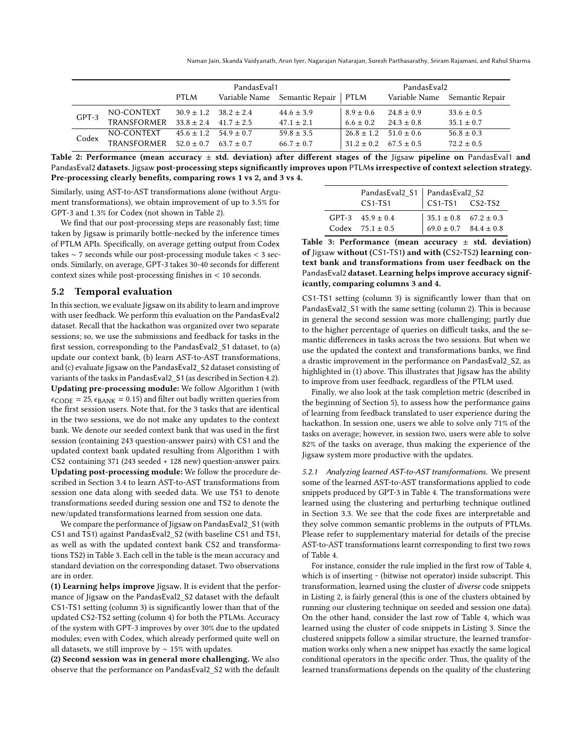Naman Jain, Skanda Vaidyanath, Arun Iyer, Nagarajan Natarajan, Suresh Parthasarathy, Sriram Rajamani, and Rahul Sharma

<span id="page-7-2"></span>

|       |             |                               | PandasEval1 |                                      |                               | PandasEval2    |                               |
|-------|-------------|-------------------------------|-------------|--------------------------------------|-------------------------------|----------------|-------------------------------|
|       |             | PTLM                          |             | Variable Name Semantic Repair   PTLM |                               |                | Variable Name Semantic Repair |
| GPT-3 | NO-CONTEXT  | $30.9 \pm 1.2$ $38.2 \pm 2.4$ |             | $44.6 \pm 3.9$                       | $8.9 \pm 0.6$                 | $24.8 \pm 0.9$ | $33.6 \pm 0.5$                |
|       | TRANSFORMER | $33.8 + 2.4$ $41.7 + 2.5$     |             | $47.1 \pm 2.1$                       | $6.6 \pm 0.2$                 | $24.3 + 0.8$   | $35.1 \pm 0.7$                |
| Codex | NO-CONTEXT  | $45.6 \pm 1.2$ $54.9 \pm 0.7$ |             | $59.8 \pm 3.5$                       | $26.8 \pm 1.2$ 51.0 $\pm$ 0.6 |                | $56.8 \pm 0.3$                |
|       | TRANSFORMER | $52.0 + 0.7$ $63.7 + 0.7$     |             | $66.7 \pm 0.7$                       | $31.2 \pm 0.2$ $67.5 \pm 0.5$ |                | $72.2 \pm 0.5$                |

Table 2: Performance (mean accuracy  $\pm$  std. deviation) after different stages of the Jigsaw pipeline on PandasEval1 and PandasEval2 datasets. Jigsaw post-processing steps significantly improves upon PTLMs irrespective of context selection strategy. Pre-processing clearly benefits, comparing rows 1 vs 2, and 3 vs 4.

Similarly, using AST-to-AST transformations alone (without Argument transformations), we obtain improvement of up to 3.5% for GPT-3 and 1.3% for Codex (not shown in Table [2\)](#page-7-2).

We find that our post-processing steps are reasonably fast; time taken by Jigsaw is primarily bottle-necked by the inference times of PTLM APIs. Specifically, on average getting output from Codex takes ∼ 7 seconds while our post-processing module takes < 3 seconds. Similarly, on average, GPT-3 takes 30-40 seconds for different context sizes while post-processing finishes in < 10 seconds.

### <span id="page-7-1"></span>5.2 Temporal evaluation

In this section, we evaluate Jigsaw on its ability to learn and improve with user feedback. We perform this evaluation on the PandasEval2 dataset. Recall that the hackathon was organized over two separate sessions; so, we use the submissions and feedback for tasks in the first session, corresponding to the PandasEval2\_S1 dataset, to (a) update our context bank, (b) learn AST-to-AST transformations, and (c) evaluate Jigsaw on the PandasEval2\_S2 dataset consisting of variants of the tasks in PandasEval2\_S1 (as described in Section [4.2\)](#page-5-6). Updating pre-processing module: We follow Algorithm [1](#page-5-2) (with  $\epsilon_{\text{CODE}} = 25$ ,  $\epsilon_{\text{BANK}} = 0.15$ ) and filter out badly written queries from the first session users. Note that, for the 3 tasks that are identical in the two sessions, we do not make any updates to the context bank. We denote our seeded context bank that was used in the first session (containing 243 question-answer pairs) with CS1 and the updated context bank updated resulting from Algorithm [1](#page-5-2) with CS2 containing 371 (243 seeded + 128 new) question-answer pairs. Updating post-processing module: We follow the procedure described in Section [3.4](#page-5-1) to learn AST-to-AST transformations from session one data along with seeded data. We use TS1 to denote transformations seeded during session one and TS2 to denote the new/updated transformations learned from session one data.

We compare the performance of Jigsaw on PandasEval2\_S1 (with CS1 and TS1) against PandasEval2\_S2 (with baseline CS1 and TS1, as well as with the updated context bank CS2 and transformations TS2) in Table [3.](#page-7-3) Each cell in the table is the mean accuracy and standard deviation on the corresponding dataset. Two observations are in order.

(1) Learning helps improve Jigsaw. It is evident that the performance of Jigsaw on the PandasEval2\_S2 dataset with the default CS1-TS1 setting (column 3) is significantly lower than that of the updated CS2-TS2 setting (column 4) for both the PTLMs. Accuracy of the system with GPT-3 improves by over 30% due to the updated modules; even with Codex, which already performed quite well on all datasets, we still improve by ∼ 15% with updates.

(2) Second session was in general more challenging. We also observe that the performance on PandasEval2\_S2 with the default

<span id="page-7-3"></span>

|                                              | PandasEval2_S1   PandasEval2_S2<br>CS1-TS1   CS1-TS1 CS2-TS2                               |  |
|----------------------------------------------|--------------------------------------------------------------------------------------------|--|
| GPT-3 $45.9 \pm 0.4$<br>Codex $75.1 \pm 0.5$ | $\begin{array}{ l} 35.1 \pm 0.8 & 67.2 \pm 0.3 \\ 69.0 \pm 0.7 & 84.4 \pm 0.8 \end{array}$ |  |

Table 3: Performance (mean accuracy  $\pm$  std. deviation) of Jigsaw without (CS1-TS1) and with (CS2-TS2) learning context bank and transformations from user feedback on the PandasEval2 dataset. Learning helps improve accuracy significantly, comparing columns 3 and 4.

CS1-TS1 setting (column 3) is significantly lower than that on PandasEval2 S1 with the same setting (column 2). This is because in general the second session was more challenging; partly due to the higher percentage of queries on difficult tasks, and the semantic differences in tasks across the two sessions. But when we use the updated the context and transformations banks, we find a drastic improvement in the performance on PandasEval2\_S2, as highlighted in (1) above. This illustrates that Jigsaw has the ability to improve from user feedback, regardless of the PTLM used.

Finally, we also look at the task completion metric (described in the beginning of Section [5\)](#page-6-0), to assess how the performance gains of learning from feedback translated to user experience during the hackathon. In session one, users we able to solve only 71% of the tasks on average; however, in session two, users were able to solve 82% of the tasks on average, thus making the experience of the Jigsaw system more productive with the updates.

<span id="page-7-0"></span>5.2.1 Analyzing learned AST-to-AST transformations. We present some of the learned AST-to-AST transformations applied to code snippets produced by GPT-3 in Table [4.](#page-8-2) The transformations were learned using the clustering and perturbing technique outlined in Section [3.3.](#page-3-1) We see that the code fixes are interpretable and they solve common semantic problems in the outputs of PTLMs. Please refer to supplementary material for details of the precise AST-to-AST transformations learnt corresponding to first two rows of Table [4.](#page-8-2)

For instance, consider the rule implied in the first row of Table [4,](#page-8-2) which is of inserting ~ (bitwise not operator) inside subscript. This transformation, learned using the cluster of diverse code snippets in Listing [2,](#page-8-3) is fairly general (this is one of the clusters obtained by running our clustering technique on seeded and session one data). On the other hand, consider the last row of Table [4,](#page-8-2) which was learned using the cluster of code snippets in Listing [3.](#page-9-1) Since the clustered snippets follow a similar structure, the learned transformation works only when a new snippet has exactly the same logical conditional operators in the specific order. Thus, the quality of the learned transformations depends on the quality of the clustering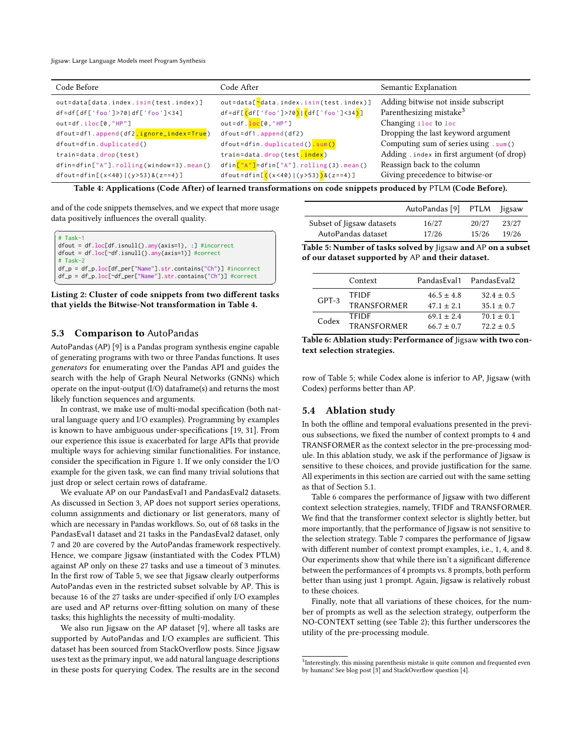<span id="page-8-2"></span>

| Code Before                                            | Code After                                                                        | Semantic Explanation                       |
|--------------------------------------------------------|-----------------------------------------------------------------------------------|--------------------------------------------|
| out=data[data.index.isin(test.index)]                  | out=data["data.index.isin(test.index)]                                            | Adding bitwise not inside subscript        |
| df=df[df['foo']>70 df['foo']<34]                       | df=df[ <mark>(</mark> df['foo']>70 <mark>) (</mark> df['foo']<34 <mark>)</mark> ] | Parenthesizing mistake <sup>3</sup>        |
| $out=df.iloc[0,"HP"]$                                  | out=df. loc[0,"HP"]                                                               | Changing iloc to loc                       |
| dfout=df1.append(df2 <mark>,ignore_index=True</mark> ) | $d$ fout=df1.append(df2)                                                          | Dropping the last keyword argument         |
| $d$ fout=dfin.duplicated()                             | dfout=dfin.duplicated() sum()                                                     | Computing sum of series using . sum ()     |
| train=data.drop(test)                                  | train=data.drop(test.index)                                                       | Adding . index in first argument (of drop) |
| $dfin = dfin["A"]$ . rolling (window=3). mean()        | dfin["A"]=dfin["A"].rolling(3).mean()                                             | Reassign back to the column                |
| dfout=dfin[ $(x < 40)$  ( $y > 53$ )&( $z == 4$ )]     | dfout=dfin[ $((x<40)   (y>53))$ & (z==4)]                                         | Giving precedence to bitwise-or            |

Table 4: Applications (Code After) of learned transformations on code snippets produced by PTLM (Code Before).

and of the code snippets themselves, and we expect that more usage data positively influences the overall quality.

<span id="page-8-3"></span>

| $#$ Task-1<br>$dfout = df \cdot loc[df \cdot isnull() \cdot any(axis=1), :]$ #incorrect<br>$dfout = df \cdot loc[\neg df \cdot isnull() \cdot any(axis=1)]$ #correct<br>$#$ Task-2<br>$df_p = df_p$ .loc[df_per["Name"].str.contains("Ch")] #incorrect<br>$df_p = df_p \cdot loc[\neg df_per["Name"] str. contains("Ch"] #correct$ |
|------------------------------------------------------------------------------------------------------------------------------------------------------------------------------------------------------------------------------------------------------------------------------------------------------------------------------------|
|------------------------------------------------------------------------------------------------------------------------------------------------------------------------------------------------------------------------------------------------------------------------------------------------------------------------------------|

Listing 2: Cluster of code snippets from two different tasks that yields the Bitwise-Not transformation in Table [4.](#page-8-2)

#### <span id="page-8-1"></span>5.3 Comparison to AutoPandas

AutoPandas (AP) [\[9\]](#page-10-6) is a Pandas program synthesis engine capable of generating programs with two or three Pandas functions. It uses generators for enumerating over the Pandas API and guides the search with the help of Graph Neural Networks (GNNs) which operate on the input-output (I/O) dataframe(s) and returns the most likely function sequences and arguments.

In contrast, we make use of multi-modal specification (both natural language query and I/O examples). Programming by examples is known to have ambiguous under-specifications [\[19,](#page-11-10) [31\]](#page-11-5). From our experience this issue is exacerbated for large APIs that provide multiple ways for achieving similar functionalities. For instance, consider the specification in Figure [1.](#page-0-0) If we only consider the I/O example for the given task, we can find many trivial solutions that just drop or select certain rows of dataframe.

We evaluate AP on our PandasEval1 and PandasEval2 datasets. As discussed in Section [3,](#page-2-1) AP does not support series operations, column assignments and dictionary or list generators, many of which are necessary in Pandas workflows. So, out of 68 tasks in the PandasEval1 dataset and 21 tasks in the PandasEval2 dataset, only 7 and 20 are covered by the AutoPandas framework respectively. Hence, we compare Jigsaw (instantiated with the Codex PTLM) against AP only on these 27 tasks and use a timeout of 3 minutes. In the first row of Table [5,](#page-8-5) we see that Jigsaw clearly outperforms AutoPandas even in the restricted subset solvable by AP. This is because 16 of the 27 tasks are under-specified if only I/O examples are used and AP returns over-fitting solution on many of these tasks; this highlights the necessity of multi-modality.

We also run Jigsaw on the AP dataset [\[9\]](#page-10-6), where all tasks are supported by AutoPandas and I/O examples are sufficient. This dataset has been sourced from StackOverflow posts. Since Jigsaw uses text as the primary input, we add natural language descriptions in these posts for querying Codex. The results are in the second

<span id="page-8-5"></span>

|                           | AutoPandas [9] PTLM |       | ligsaw |
|---------------------------|---------------------|-------|--------|
| Subset of Jigsaw datasets | 16/27               | 20/27 | 23/27  |
| AutoPandas dataset        | 17/26               | 15/26 | 19/26  |

Table 5: Number of tasks solved by Jigsaw and AP on a subset of our dataset supported by AP and their dataset.

<span id="page-8-6"></span>

|         | Context            | PandasEval1    | PandasEval2    |
|---------|--------------------|----------------|----------------|
| $GPT-3$ | <b>TFIDF</b>       | $46.5 \pm 4.8$ | $32.4 \pm 0.5$ |
|         | TRANSFORMER        | $47.1 \pm 2.1$ | $35.1 \pm 0.7$ |
| Codex   | <b>TFIDE</b>       | $69.1 \pm 2.4$ | $70.1 \pm 0.1$ |
|         | <b>TRANSFORMER</b> | $66.7 \pm 0.7$ | $72.2 + 0.5$   |

Table 6: Ablation study: Performance of Jigsaw with two context selection strategies.

row of Table [5;](#page-8-5) while Codex alone is inferior to AP, Jigsaw (with Codex) performs better than AP.

## <span id="page-8-0"></span>5.4 Ablation study

In both the offline and temporal evaluations presented in the previous subsections, we fixed the number of context prompts to 4 and TRANSFORMER as the context selector in the pre-processing module. In this ablation study, we ask if the performance of Jigsaw is sensitive to these choices, and provide justification for the same. All experiments in this section are carried out with the same setting as that of Section [5.1.](#page-6-1)

Table [6](#page-8-6) compares the performance of Jigsaw with two different context selection strategies, namely, TFIDF and TRANSFORMER. We find that the transformer context selector is slightly better, but more importantly, that the performance of Jigsaw is not sensitive to the selection strategy. Table [7](#page-9-2) compares the performance of Jigsaw with different number of context prompt examples, i.e., 1, 4, and 8. Our experiments show that while there isn't a significant difference between the performances of 4 prompts vs. 8 prompts, both perform better than using just 1 prompt. Again, Jigsaw is relatively robust to these choices.

Finally, note that all variations of these choices, for the number of prompts as well as the selection strategy, outperform the NO-CONTEXT setting (see Table [2\)](#page-7-2); this further underscores the utility of the pre-processing module.

<span id="page-8-4"></span> $3$ Interestingly, this missing parenthesis mistake is quite common and frequented even by humans! See blog post [\[3\]](#page-10-8) and StackOverflow question [\[4\]](#page-10-9).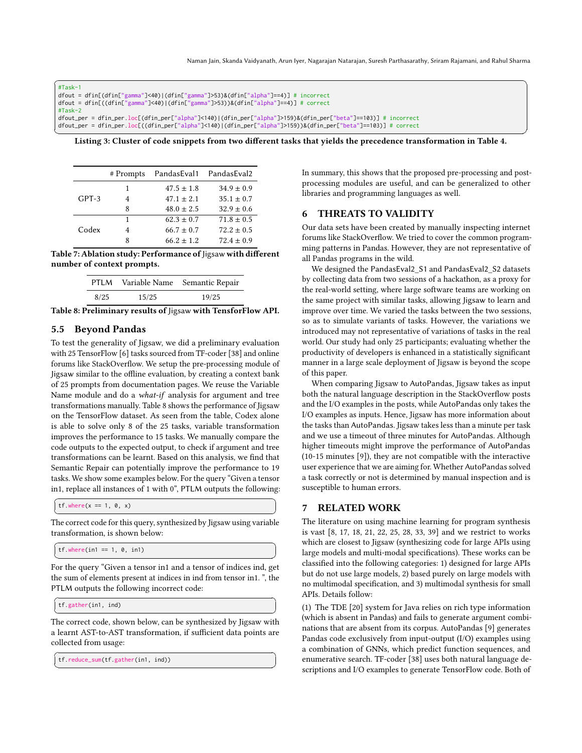<span id="page-9-1"></span>

| $#Task-1$                                                                                                     |
|---------------------------------------------------------------------------------------------------------------|
| dfout = dfin[(dfin["gamma"]<40) (dfin["gamma"]>53)&(dfin["alpha"]==4)] # incorrect                            |
| dfout = dfin[((dfin["gamma"]<40) (dfin["gamma"]>53))&(dfin["alpha"]==4)] # correct                            |
| $#Task-2$                                                                                                     |
| dfout_per = dfin_per.loc[(dfin_per["alpha"]<140) (dfin_per["alpha"]>159)&(dfin_per["beta"]==103)] # incorrect |
| dfout_per = dfin_per.loc[((dfin_per["alpha"]<140) (dfin_per["alpha"]>159))&(dfin_per["beta"]==103)] # correct |

✝ ✆ Listing 3: Cluster of code snippets from two different tasks that yields the precedence transformation in Table [4.](#page-8-2)

<span id="page-9-2"></span>

|         | # Prompts | PandasEval1 PandasEval2 |                |
|---------|-----------|-------------------------|----------------|
| $GPT-3$ | 1         | $47.5 \pm 1.8$          | $34.9 \pm 0.9$ |
|         | 4         | $47.1 \pm 2.1$          | $35.1 \pm 0.7$ |
|         | 8         | $48.0 \pm 2.5$          | $32.9 \pm 0.6$ |
| Codex   | 1         | $62.3 \pm 0.7$          | $71.8 \pm 0.5$ |
|         |           | $66.7 \pm 0.7$          | $72.2 \pm 0.5$ |
|         | ጸ         | $66.2 \pm 1.2$          | $72.4 \pm 0.9$ |

<span id="page-9-3"></span>Table 7: Ablation study: Performance of Jigsaw with different number of context prompts.

|      |       | PTLM Variable Name Semantic Repair |
|------|-------|------------------------------------|
| 8/25 | 15/25 | 19/25                              |

Table 8: Preliminary results of Jigsaw with TensforFlow API.

## <span id="page-9-0"></span>5.5 Beyond Pandas

To test the generality of Jigsaw, we did a preliminary evaluation with 25 TensorFlow [\[6\]](#page-10-10) tasks sourced from TF-coder [\[38\]](#page-11-11) and online forums like StackOverflow. We setup the pre-processing module of Jigsaw similar to the offline evaluation, by creating a context bank of 25 prompts from documentation pages. We reuse the Variable Name module and do a what-if analysis for argument and tree transformations manually. Table [8](#page-9-3) shows the performance of Jigsaw on the TensorFlow dataset. As seen from the table, Codex alone is able to solve only 8 of the 25 tasks, variable transformation improves the performance to 15 tasks. We manually compare the code outputs to the expected output, to check if argument and tree transformations can be learnt. Based on this analysis, we find that Semantic Repair can potentially improve the performance to 19 tasks. We show some examples below. For the query "Given a tensor in1, replace all instances of 1 with 0", PTLM outputs the following:

 $\int tf.where(x == 1, 0, x)$  $\overline{\phantom{a}}$   $\overline{\phantom{a}}$   $\overline{\phantom{a}}$   $\overline{\phantom{a}}$   $\overline{\phantom{a}}$   $\overline{\phantom{a}}$   $\overline{\phantom{a}}$   $\overline{\phantom{a}}$   $\overline{\phantom{a}}$   $\overline{\phantom{a}}$   $\overline{\phantom{a}}$   $\overline{\phantom{a}}$   $\overline{\phantom{a}}$   $\overline{\phantom{a}}$   $\overline{\phantom{a}}$   $\overline{\phantom{a}}$   $\overline{\phantom{a}}$   $\overline{\phantom{a}}$   $\overline{\$ 

The correct code for this query, synthesized by Jigsaw using variable transformation, is shown below:

```
\int tf. where(in1 == 1, 0, in1)
\overline{\phantom{a}} \overline{\phantom{a}} \overline{\phantom{a}} \overline{\phantom{a}} \overline{\phantom{a}} \overline{\phantom{a}} \overline{\phantom{a}} \overline{\phantom{a}} \overline{\phantom{a}} \overline{\phantom{a}} \overline{\phantom{a}} \overline{\phantom{a}} \overline{\phantom{a}} \overline{\phantom{a}} \overline{\phantom{a}} \overline{\phantom{a}} \overline{\phantom{a}} \overline{\phantom{a}} \overline{\
```
For the query "Given a tensor in1 and a tensor of indices ind, get the sum of elements present at indices in ind from tensor in1. ", the PTLM outputs the following incorrect code:

✞ ☎ tf.gather(in1, ind)  $\begin{pmatrix} 1 & 0 & 0 \\ 0 & 0 & 0 \\ 0 & 0 & 0 \\ 0 & 0 & 0 \\ 0 & 0 & 0 \\ 0 & 0 & 0 \\ 0 & 0 & 0 \\ 0 & 0 & 0 \\ 0 & 0 & 0 & 0 \\ 0 & 0 & 0 & 0 \\ 0 & 0 & 0 & 0 \\ 0 & 0 & 0 & 0 & 0 \\ 0 & 0 & 0 & 0 & 0 \\ 0 & 0 & 0 & 0 & 0 \\ 0 & 0 & 0 & 0 & 0 & 0 \\ 0 & 0 & 0 & 0 & 0 & 0 \\ 0 & 0 & 0 & 0 & 0 & 0 & 0 \\ 0 &$ 

The correct code, shown below, can be synthesized by Jigsaw with a learnt AST-to-AST transformation, if sufficient data points are collected from usage:

✞ ☎ tf.reduce\_sum(tf.gather(in1, ind))  $\overline{\phantom{a}}$   $\overline{\phantom{a}}$   $\overline{\phantom{a}}$   $\overline{\phantom{a}}$   $\overline{\phantom{a}}$   $\overline{\phantom{a}}$   $\overline{\phantom{a}}$   $\overline{\phantom{a}}$   $\overline{\phantom{a}}$   $\overline{\phantom{a}}$   $\overline{\phantom{a}}$   $\overline{\phantom{a}}$   $\overline{\phantom{a}}$   $\overline{\phantom{a}}$   $\overline{\phantom{a}}$   $\overline{\phantom{a}}$   $\overline{\phantom{a}}$   $\overline{\phantom{a}}$   $\overline{\$  In summary, this shows that the proposed pre-processing and postprocessing modules are useful, and can be generalized to other libraries and programming languages as well.

## 6 THREATS TO VALIDITY

Our data sets have been created by manually inspecting internet forums like StackOverflow. We tried to cover the common programming patterns in Pandas. However, they are not representative of all Pandas programs in the wild.

We designed the PandasEval2\_S1 and PandasEval2\_S2 datasets by collecting data from two sessions of a hackathon, as a proxy for the real-world setting, where large software teams are working on the same project with similar tasks, allowing Jigsaw to learn and improve over time. We varied the tasks between the two sessions, so as to simulate variants of tasks. However, the variations we introduced may not representative of variations of tasks in the real world. Our study had only 25 participants; evaluating whether the productivity of developers is enhanced in a statistically significant manner in a large scale deployment of Jigsaw is beyond the scope of this paper.

When comparing Jigsaw to AutoPandas, Jigsaw takes as input both the natural language description in the StackOverflow posts and the I/O examples in the posts, while AutoPandas only takes the I/O examples as inputs. Hence, Jigsaw has more information about the tasks than AutoPandas. Jigsaw takes less than a minute per task and we use a timeout of three minutes for AutoPandas. Although higher timeouts might improve the performance of AutoPandas (10-15 minutes [\[9\]](#page-10-6)), they are not compatible with the interactive user experience that we are aiming for. Whether AutoPandas solved a task correctly or not is determined by manual inspection and is susceptible to human errors.

## 7 RELATED WORK

The literature on using machine learning for program synthesis is vast [\[8,](#page-10-11) [17,](#page-10-12) [18,](#page-10-13) [21,](#page-11-12) [22,](#page-11-13) [25,](#page-11-14) [28,](#page-11-15) [33,](#page-11-16) [39\]](#page-11-17) and we restrict to works which are closest to Jigsaw (synthesizing code for large APIs using large models and multi-modal specifications). These works can be classified into the following categories: 1) designed for large APIs but do not use large models, 2) based purely on large models with no multimodal specification, and 3) multimodal synthesis for small APIs. Details follow:

(1) The TDE [\[20\]](#page-11-18) system for Java relies on rich type information (which is absent in Pandas) and fails to generate argument combinations that are absent from its corpus. AutoPandas [\[9\]](#page-10-6) generates Pandas code exclusively from input-output (I/O) examples using a combination of GNNs, which predict function sequences, and enumerative search. TF-coder [\[38\]](#page-11-11) uses both natural language descriptions and I/O examples to generate TensorFlow code. Both of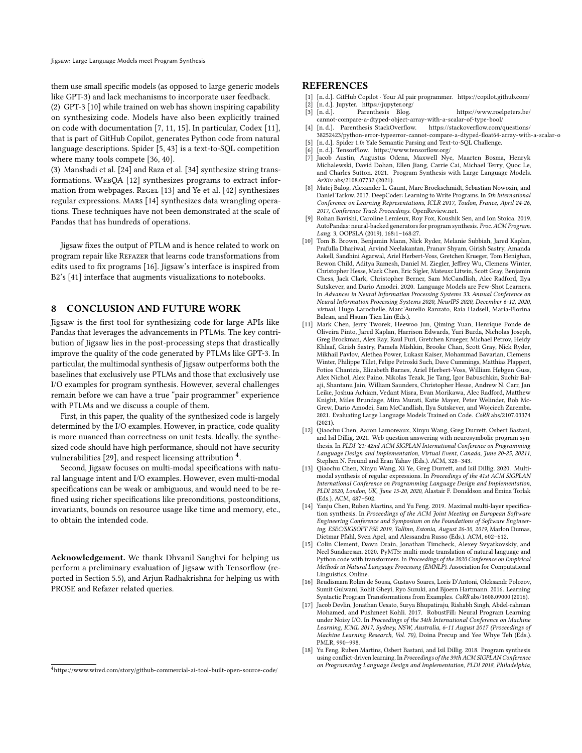them use small specific models (as opposed to large generic models like GPT-3) and lack mechanisms to incorporate user feedback.

(2) GPT-3 [\[10\]](#page-10-0) while trained on web has shown inspiring capability on synthesizing code. Models have also been explicitly trained on code with documentation [\[7,](#page-10-2) [11,](#page-10-1) [15\]](#page-10-5). In particular, Codex [\[11\]](#page-10-1), that is part of GitHub Copilot, generates Python code from natural language descriptions. Spider [\[5,](#page-10-14) [43\]](#page-11-19) is a text-to-SQL competition where many tools compete [\[36,](#page-11-20) [40\]](#page-11-21).

(3) Manshadi et al. [\[24\]](#page-11-22) and Raza et al. [\[34\]](#page-11-23) synthesize string transformations. WebQA [\[12\]](#page-10-15) synthesizes programs to extract infor-mation from webpages. REGEL [\[13\]](#page-10-16) and Ye et al. [\[42\]](#page-11-24) synthesizes regular expressions. Mars [\[14\]](#page-10-17) synthesizes data wrangling operations. These techniques have not been demonstrated at the scale of Pandas that has hundreds of operations.

Jigsaw fixes the output of PTLM and is hence related to work on program repair like Refazer that learns code transformations from edits used to fix programs [\[16\]](#page-10-7). Jigsaw's interface is inspired from B2's [\[41\]](#page-11-25) interface that augments visualizations to notebooks.

## 8 CONCLUSION AND FUTURE WORK

Jigsaw is the first tool for synthesizing code for large APIs like Pandas that leverages the advancements in PTLMs. The key contribution of Jigsaw lies in the post-processing steps that drastically improve the quality of the code generated by PTLMs like GPT-3. In particular, the multimodal synthesis of Jigsaw outperforms both the baselines that exclusively use PTLMs and those that exclusively use I/O examples for program synthesis. However, several challenges remain before we can have a true "pair programmer" experience with PTLMs and we discuss a couple of them.

First, in this paper, the quality of the synthesized code is largely determined by the I/O examples. However, in practice, code quality is more nuanced than correctness on unit tests. Ideally, the synthesized code should have high performance, should not have security vulnerabilities [\[29\]](#page-11-8), and respect licensing attribution  $\frac{4}{3}$  $\frac{4}{3}$  $\frac{4}{3}$ .

Second, Jigsaw focuses on multi-modal specifications with natural language intent and I/O examples. However, even multi-modal specifications can be weak or ambiguous, and would need to be refined using richer specifications like preconditions, postconditions, invariants, bounds on resource usage like time and memory, etc., to obtain the intended code.

Acknowledgement. We thank Dhvanil Sanghvi for helping us perform a preliminary evaluation of Jigsaw with Tensorflow (reported in Section 5.5), and Arjun Radhakrishna for helping us with PROSE and Refazer related queries.

#### **REFERENCES**

- <span id="page-10-3"></span>[1] [n. d.]. GitHub Copilot · Your AI pair programmer.<https://copilot.github.com/>
- <span id="page-10-8"></span><span id="page-10-4"></span>[2] [n. d.]. Jupyter.<https://jupyter.org/> [n. d.]. Parenthesis Blog. [https://www.roelpeters.be/](https://www.roelpeters.be/cannot-compare-a-dtyped-object-array-with-a-scalar-of-type-bool/)
- <span id="page-10-9"></span>[cannot-compare-a-dtyped-object-array-with-a-scalar-of-type-bool/](https://www.roelpeters.be/cannot-compare-a-dtyped-object-array-with-a-scalar-of-type-bool/) [4] [n. d.]. Parenthesis StackOverflow. [https://stackoverflow.com/questions/](https://stackoverflow.com/questions/38252423/python-error-typeerror-cannot-compare-a-dtyped-float64-array-with-a-scalar-o)
- [38252423/python-error-typeerror-cannot-compare-a-dtyped-float64-array-with-a-scalar-o](https://stackoverflow.com/questions/38252423/python-error-typeerror-cannot-compare-a-dtyped-float64-array-with-a-scalar-o) [n. d.]. Spider 1.0: Yale Semantic Parsing and Text-to-SQL Challenge.
- <span id="page-10-14"></span><span id="page-10-10"></span>
- <span id="page-10-2"></span>[6] [n. d.]. TensorFlow.<https://www.tensorflow.org/> Jacob Austin, Augustus Odena, Maxwell Nye, Maarten Bosma, Henryk Michalewski, David Dohan, Ellen Jiang, Carrie Cai, Michael Terry, Quoc Le, and Charles Sutton. 2021. Program Synthesis with Large Language Models. ArXiv abs/2108.07732 (2021).
- <span id="page-10-11"></span>[8] Matej Balog, Alexander L. Gaunt, Marc Brockschmidt, Sebastian Nowozin, and Daniel Tarlow. 2017. DeepCoder: Learning to Write Programs. In 5th International Conference on Learning Representations, ICLR 2017, Toulon, France, April 24-26, 2017, Conference Track Proceedings. OpenReview.net.
- <span id="page-10-6"></span>[9] Rohan Bavishi, Caroline Lemieux, Roy Fox, Koushik Sen, and Ion Stoica. 2019. AutoPandas: neural-backed generators for program synthesis. Proc. ACM Program. Lang. 3, OOPSLA (2019), 168:1–168:27.
- <span id="page-10-0"></span>[10] Tom B. Brown, Benjamin Mann, Nick Ryder, Melanie Subbiah, Jared Kaplan, Prafulla Dhariwal, Arvind Neelakantan, Pranav Shyam, Girish Sastry, Amanda Askell, Sandhini Agarwal, Ariel Herbert-Voss, Gretchen Krueger, Tom Henighan, Rewon Child, Aditya Ramesh, Daniel M. Ziegler, Jeffrey Wu, Clemens Winter, Christopher Hesse, Mark Chen, Eric Sigler, Mateusz Litwin, Scott Gray, Benjamin Chess, Jack Clark, Christopher Berner, Sam McCandlish, Alec Radford, Ilya Sutskever, and Dario Amodei. 2020. Language Models are Few-Shot Learners. In Advances in Neural Information Processing Systems 33: Annual Conference on Neural Information Processing Systems 2020, NeurIPS 2020, December 6-12, 2020, virtual, Hugo Larochelle, Marc'Aurelio Ranzato, Raia Hadsell, Maria-Florina Balcan, and Hsuan-Tien Lin (Eds.).
- <span id="page-10-1"></span>[11] Mark Chen, Jerry Tworek, Heewoo Jun, Qiming Yuan, Henrique Ponde de Oliveira Pinto, Jared Kaplan, Harrison Edwards, Yuri Burda, Nicholas Joseph, Greg Brockman, Alex Ray, Raul Puri, Gretchen Krueger, Michael Petrov, Heidy Khlaaf, Girish Sastry, Pamela Mishkin, Brooke Chan, Scott Gray, Nick Ryder, Mikhail Pavlov, Alethea Power, Lukasz Kaiser, Mohammad Bavarian, Clemens Winter, Philippe Tillet, Felipe Petroski Such, Dave Cummings, Matthias Plappert, Fotios Chantzis, Elizabeth Barnes, Ariel Herbert-Voss, William Hebgen Guss, Alex Nichol, Alex Paino, Nikolas Tezak, Jie Tang, Igor Babuschkin, Suchir Balaji, Shantanu Jain, William Saunders, Christopher Hesse, Andrew N. Carr, Jan Leike, Joshua Achiam, Vedant Misra, Evan Morikawa, Alec Radford, Matthew Knight, Miles Brundage, Mira Murati, Katie Mayer, Peter Welinder, Bob Mc-Grew, Dario Amodei, Sam McCandlish, Ilya Sutskever, and Wojciech Zaremba. 2021. Evaluating Large Language Models Trained on Code. CoRR abs/2107.03374  $(2021)$
- <span id="page-10-15"></span>[12] Qiaochu Chen, Aaron Lamoreaux, Xinyu Wang, Greg Durrett, Osbert Bastani, and Isil Dillig. 2021. Web question answering with neurosymbolic program synthesis. In PLDI '21: 42nd ACM SIGPLAN International Conference on Programming Language Design and Implementation, Virtual Event, Canada, June 20-25, 20211, Stephen N. Freund and Eran Yahav (Eds.). ACM, 328–343.
- <span id="page-10-16"></span>[13] Qiaochu Chen, Xinyu Wang, Xi Ye, Greg Durrett, and Isil Dillig. 2020. Multimodal synthesis of regular expressions. In Proceedings of the 41st ACM SIGPLAN International Conference on Programming Language Design and Implementation, PLDI 2020, London, UK, June 15-20, 2020, Alastair F. Donaldson and Emina Torlak (Eds.). ACM, 487–502.
- <span id="page-10-17"></span>[14] Yanju Chen, Ruben Martins, and Yu Feng. 2019. Maximal multi-layer specification synthesis. In Proceedings of the ACM Joint Meeting on European Software Engineering Conference and Symposium on the Foundations of Software Engineering, ESEC/SIGSOFT FSE 2019, Tallinn, Estonia, August 26-30, 2019, Marlon Dumas, Dietmar Pfahl, Sven Apel, and Alessandra Russo (Eds.). ACM, 602–612.
- <span id="page-10-5"></span>[15] Colin Clement, Dawn Drain, Jonathan Timcheck, Alexey Svyatkovskiy, and Neel Sundaresan. 2020. PyMT5: multi-mode translation of natural language and Python code with transformers. In Proceedings of the 2020 Conference on Empirical Methods in Natural Language Processing (EMNLP). Association for Computational Linguistics, Online.
- <span id="page-10-7"></span>[16] Reudismam Rolim de Sousa, Gustavo Soares, Loris D'Antoni, Oleksandr Polozov, Sumit Gulwani, Rohit Gheyi, Ryo Suzuki, and Bjoern Hartmann. 2016. Learning Syntactic Program Transformations from Examples. CoRR abs/1608.09000 (2016).
- <span id="page-10-12"></span>[17] Jacob Devlin, Jonathan Uesato, Surya Bhupatiraju, Rishabh Singh, Abdel-rahman Mohamed, and Pushmeet Kohli. 2017. RobustFill: Neural Program Learning under Noisy I/O. In Proceedings of the 34th International Conference on Machine Learning, ICML 2017, Sydney, NSW, Australia, 6-11 August 2017 (Proceedings of Machine Learning Research, Vol. 70), Doina Precup and Yee Whye Teh (Eds.). PMLR, 990–998.
- <span id="page-10-13"></span>[18] Yu Feng, Ruben Martins, Osbert Bastani, and Isil Dillig. 2018. Program synthesis using conflict-driven learning. In Proceedings of the 39th ACM SIGPLAN Conference on Programming Language Design and Implementation, PLDI 2018, Philadelphia,

<span id="page-10-18"></span><sup>4</sup><https://www.wired.com/story/github-commercial-ai-tool-built-open-source-code/>